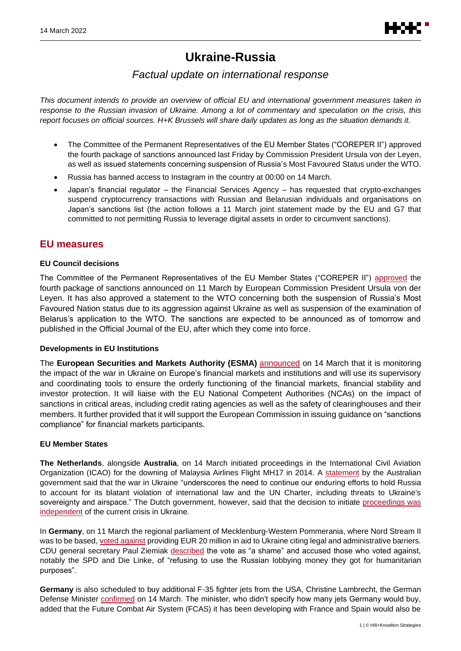# **Ukraine-Russia**

# *Factual update on international response*

*This document intends to provide an overview of official EU and international government measures taken in response to the Russian invasion of Ukraine. Among a lot of commentary and speculation on the crisis, this report focuses on official sources. H+K Brussels will share daily updates as long as the situation demands it.*

- The Committee of the Permanent Representatives of the EU Member States ("COREPER II") approved the fourth package of sanctions announced last Friday by Commission President Ursula von der Leyen, as well as issued statements concerning suspension of Russia's Most Favoured Status under the WTO.
- Russia has banned access to Instagram in the country at 00:00 on 14 March.
- Japan's financial regulator the Financial Services Agency has requested that crypto-exchanges suspend cryptocurrency transactions with Russian and Belarusian individuals and organisations on Japan's sanctions list (the action follows a 11 March joint statement made by the EU and G7 that committed to not permitting Russia to leverage digital assets in order to circumvent sanctions).

### **EU measures**

#### **EU Council decisions**

The Committee of the Permanent Representatives of the EU Member States ("COREPER II") [approved](https://twitter.com/Europe2022FR/status/1503415568073994240?s=20&t=LE-uxrOaCj_qjP_EK2X_yQ) the fourth package of sanctions announced on 11 March by European Commission President Ursula von der Leyen. It has also approved a statement to the WTO concerning both the suspension of Russia's Most Favoured Nation status due to its aggression against Ukraine as well as suspension of the examination of Belarus's application to the WTO. The sanctions are expected to be announced as of tomorrow and published in the Official Journal of the EU, after which they come into force.

#### **Developments in EU Institutions**

The **European Securities and Markets Authority (ESMA)** [announced](https://www.esma.europa.eu/press-news/esma-news/esma-coordinates-regulatory-response-war-in-ukraine-and-its-impact-eu-financial) on 14 March that it is monitoring the impact of the war in Ukraine on Europe's financial markets and institutions and will use its supervisory and coordinating tools to ensure the orderly functioning of the financial markets, financial stability and investor protection. It will liaise with the EU National Competent Authorities (NCAs) on the impact of sanctions in critical areas, including credit rating agencies as well as the safety of clearinghouses and their members. It further provided that it will support the European Commission in issuing guidance on "sanctions compliance" for financial markets participants.

#### **EU Member States**

**The Netherlands**, alongside **Australia**, on 14 March initiated proceedings in the International Civil Aviation Organization (ICAO) for the downing of Malaysia Airlines Flight MH17 in 2014. A [statement](https://www.foreignminister.gov.au/minister/marise-payne/media-release/australia-and-netherlands-initiate-mh17-legal-proceedings) by the Australian government said that the war in Ukraine "underscores the need to continue our enduring efforts to hold Russia to account for its blatant violation of international law and the UN Charter, including threats to Ukraine's sovereignty and airspace." The Dutch government, however, said that the decision to initiate proceedings was [independent](https://www.rijksoverheid.nl/ministeries/ministerie-van-buitenlandse-zaken/documenten/kamerstukken/2022/03/14/kamerbrief-start-juridische-procedure-tegen-rusland-bij-de-internationale-burgerluchtvaartorganisatie-icao-vanwege-zijn-rol-bij-het-neerhalen-van-vlucht-mh17) of the current crisis in Ukraine.

In **Germany**, on 11 March the regional parliament of Mecklenburg-Western Pommerania, where Nord Stream II was to be based, [voted against](https://www.ndr.de/fernsehen/sendungen/nordmagazin/Landtag-lehnt-Ukraine-Hilfen-aus-Landesmitteln-ab,nordmagazin94082.html) providing EUR 20 million in aid to Ukraine citing legal and administrative barriers. CDU general secretary Paul Ziemiak [described](https://twitter.com/PaulZiemiak/status/1502609197157990401) the vote as "a shame" and accused those who voted against, notably the SPD and Die Linke, of "refusing to use the Russian lobbying money they got for humanitarian purposes".

**Germany** is also scheduled to buy additional F-35 fighter jets from the USA, Christine Lambrecht, the German Defense Minister [confirmed](https://twitter.com/dw_politics/status/1503370554325221385) on 14 March. The minister, who didn't specify how many jets Germany would buy, added that the Future Combat Air System (FCAS) it has been developing with France and Spain would also be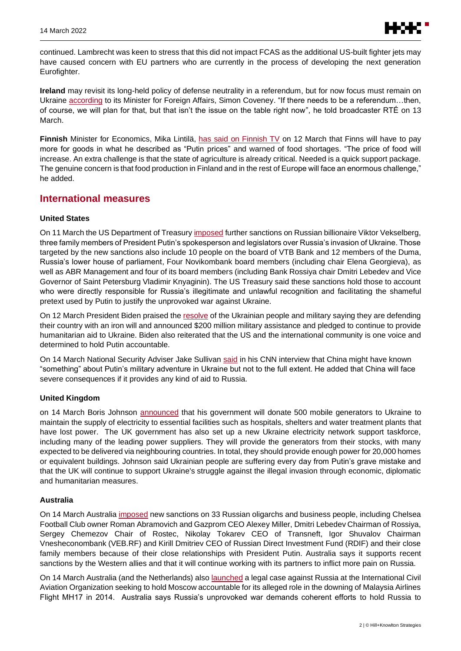

continued. Lambrecht was keen to stress that this did not impact FCAS as the additional US-built fighter jets may have caused concern with EU partners who are currently in the process of developing the next generation Eurofighter.

**Ireland** may revisit its long-held policy of defense neutrality in a referendum, but for now focus must remain on Ukraine [according](https://www.rte.ie/radio/radio1/clips/22073395/) to its Minister for Foreign Affairs, Simon Coveney. "If there needs to be a referendum…then, of course, we will plan for that, but that isn't the issue on the table right now", he told broadcaster RTÉ on 13 March.

**Finnish** Minister for Economics, Mika Lintilä, [has said on Finnish TV](https://yle.fi/uutiset/3-12355815) on 12 March that Finns will have to pay more for goods in what he described as "Putin prices" and warned of food shortages. "The price of food will increase. An extra challenge is that the state of agriculture is already critical. Needed is a quick support package. The genuine concern is that food production in Finland and in the rest of Europe will face an enormous challenge," he added.

### **International measures**

#### **United States**

On 11 March the US Department of Treasur[y imposed](https://home.treasury.gov/news/press-releases/jy0650) further sanctions on Russian billionaire Viktor Vekselberg, three family members of President Putin's spokesperson and legislators over Russia's invasion of Ukraine. Those targeted by the new sanctions also include 10 people on the board of VTB Bank and 12 members of the Duma, Russia's lower house of parliament, Four Novikombank board members (including chair Elena Georgieva), as well as ABR Management and four of its board members (including Bank Rossiya chair Dmitri Lebedev and Vice Governor of Saint Petersburg Vladimir Knyaginin). The US Treasury said these sanctions hold those to account who were directly responsible for Russia's illegitimate and unlawful recognition and facilitating the shameful pretext used by Putin to justify the unprovoked war against Ukraine.

On 12 March President Biden praised th[e resolve](https://www.state.gov/200-million-in-new-security-assistance-for-ukraine/) of the Ukrainian people and military saying they are defending their country with an iron will and announced \$200 million military assistance and pledged to continue to provide humanitarian aid to Ukraine. Biden also reiterated that the US and the international community is one voice and determined to hold Putin accountable.

On 14 March National Security Adviser Jake Sullivan [said](https://edition.cnn.com/2022/03/13/politics/jake-sullivan-meeting-chinese-counterpart-ukraine/index.html) in his CNN interview that China might have known "something" about Putin's military adventure in Ukraine but not to the full extent. He added that China will face severe consequences if it provides any kind of aid to Russia.

#### **United Kingdom**

on 14 March Boris Johnson [announced](https://www.gov.uk/government/news/uk-government-to-donate-generators-to-provide-vital-power-for-ukraine) that his government will donate 500 mobile generators to Ukraine to maintain the supply of electricity to essential facilities such as hospitals, shelters and water treatment plants that have lost power. The UK government has also set up a new Ukraine electricity network support taskforce, including many of the leading power suppliers. They will provide the generators from their stocks, with many expected to be delivered via neighbouring countries. In total, they should provide enough power for 20,000 homes or equivalent buildings. Johnson said Ukrainian people are suffering every day from Putin's grave mistake and that the UK will continue to support Ukraine's struggle against the illegal invasion through economic, diplomatic and humanitarian measures.

#### **Australia**

On 14 March Australia [imposed](https://www.foreignminister.gov.au/minister/marise-payne/media-release/australia-joins-uk-and-us-sanctioning-key-russian-oligarchs) new sanctions on 33 Russian oligarchs and business people, including Chelsea Football Club owner Roman Abramovich and Gazprom CEO Alexey Miller, Dmitri Lebedev Chairman of Rossiya, Sergey Chemezov Chair of Rostec, Nikolay Tokarev CEO of Transneft, Igor Shuvalov Chairman Vnesheconombank (VEB.RF) and Kirill Dmitriev CEO of Russian Direct Investment Fund (RDIF) and their close family members because of their close relationships with President Putin. Australia says it supports recent sanctions by the Western allies and that it will continue working with its partners to inflict more pain on Russia.

On 14 March Australia (and the Netherlands) also [launched](https://www.foreignminister.gov.au/minister/marise-payne/media-release/australia-and-netherlands-initiate-mh17-legal-proceedings) a legal case against Russia at the International Civil Aviation Organization seeking to hold Moscow accountable for its alleged role in the downing of Malaysia Airlines Flight MH17 in 2014. Australia says Russia's unprovoked war demands coherent efforts to hold Russia to